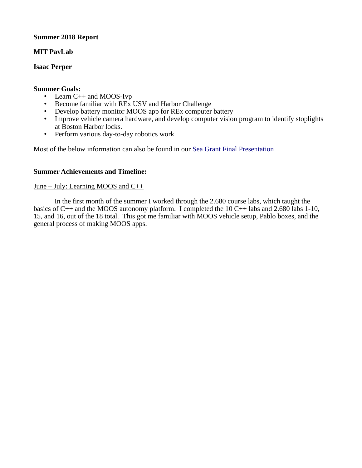# **Summer 2018 Report**

# **MIT PavLab**

# **Isaac Perper**

#### **Summer Goals:**

- Learn C++ and MOOS-Ivp
- Become familiar with REx USV and Harbor Challenge
- Develop battery monitor MOOS app for REx computer battery
- Improve vehicle camera hardware, and develop computer vision program to identify stoplights at Boston Harbor locks.
- Perform various day-to-day robotics work

Most of the below information can also be found in our [Sea Grant Final Presentation](https://docs.google.com/presentation/d/1FHoYBDWytGgcJbhk6BoSPZMzb47idHXJtyG_y1Kemyo/edit?usp=sharing)

## **Summer Achievements and Timeline:**

## June – July: Learning MOOS and C++

In the first month of the summer I worked through the 2.680 course labs, which taught the basics of C++ and the MOOS autonomy platform. I completed the 10 C++ labs and 2.680 labs 1-10, 15, and 16, out of the 18 total. This got me familiar with MOOS vehicle setup, Pablo boxes, and the general process of making MOOS apps.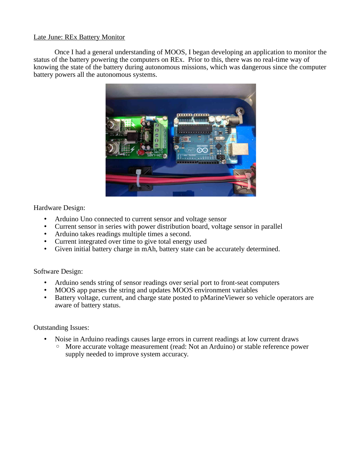# Late June: REx Battery Monitor

Once I had a general understanding of MOOS, I began developing an application to monitor the status of the battery powering the computers on REx. Prior to this, there was no real-time way of knowing the state of the battery during autonomous missions, which was dangerous since the computer battery powers all the autonomous systems.



Hardware Design:

- Arduino Uno connected to current sensor and voltage sensor
- Current sensor in series with power distribution board, voltage sensor in parallel
- Arduino takes readings multiple times a second.
- Current integrated over time to give total energy used
- Given initial battery charge in mAh, battery state can be accurately determined.

Software Design:

- Arduino sends string of sensor readings over serial port to front-seat computers
- MOOS app parses the string and updates MOOS environment variables
- Battery voltage, current, and charge state posted to pMarineViewer so vehicle operators are aware of battery status.

Outstanding Issues:

- Noise in Arduino readings causes large errors in current readings at low current draws
	- More accurate voltage measurement (read: Not an Arduino) or stable reference power supply needed to improve system accuracy.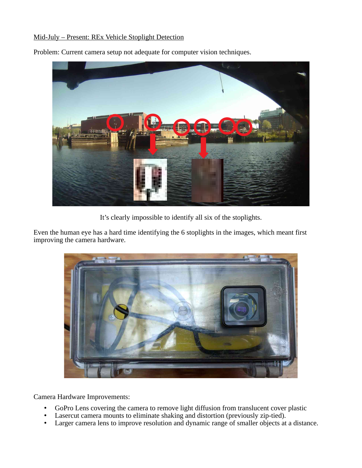# Mid-July – Present: REx Vehicle Stoplight Detection



Problem: Current camera setup not adequate for computer vision techniques.

It's clearly impossible to identify all six of the stoplights.

Even the human eye has a hard time identifying the 6 stoplights in the images, which meant first improving the camera hardware.



Camera Hardware Improvements:

- GoPro Lens covering the camera to remove light diffusion from translucent cover plastic
- Lasercut camera mounts to eliminate shaking and distortion (previously zip-tied).
- Larger camera lens to improve resolution and dynamic range of smaller objects at a distance.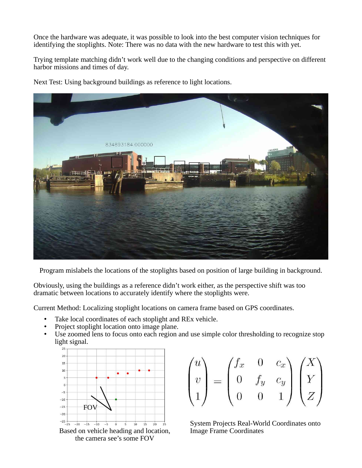Once the hardware was adequate, it was possible to look into the best computer vision techniques for identifying the stoplights. Note: There was no data with the new hardware to test this with yet.

Trying template matching didn't work well due to the changing conditions and perspective on different harbor missions and times of day.

Next Test: Using background buildings as reference to light locations.



Program mislabels the locations of the stoplights based on position of large building in background.

Obviously, using the buildings as a reference didn't work either, as the perspective shift was too dramatic between locations to accurately identify where the stoplights were.

Current Method: Localizing stoplight locations on camera frame based on GPS coordinates.

- Take local coordinates of each stoplight and REx vehicle.
- Project stoplight location onto image plane.
- Use zoomed lens to focus onto each region and use simple color thresholding to recognize stop light signal.



the camera see's some FOV

$$
\begin{pmatrix} u \\ v \\ 1 \end{pmatrix} = \begin{pmatrix} f_x & 0 & c_x \\ 0 & f_y & c_y \\ 0 & 0 & 1 \end{pmatrix} \begin{pmatrix} X \\ Y \\ Z \end{pmatrix}
$$

System Projects Real-World Coordinates onto